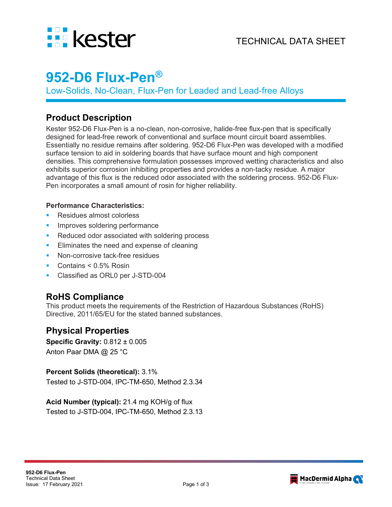

# **952-D6 Flux-Pen®**

Low-Solids, No-Clean, Flux-Pen for Leaded and Lead-free Alloys

### **Product Description**

Kester 952-D6 Flux-Pen is a no-clean, non-corrosive, halide-free flux-pen that is specifically designed for lead-free rework of conventional and surface mount circuit board assemblies. Essentially no residue remains after soldering. 952-D6 Flux-Pen was developed with a modified surface tension to aid in soldering boards that have surface mount and high component densities. This comprehensive formulation possesses improved wetting characteristics and also exhibits superior corrosion inhibiting properties and provides a non-tacky residue. A major advantage of this flux is the reduced odor associated with the soldering process. 952-D6 Flux-Pen incorporates a small amount of rosin for higher reliability.

#### **Performance Characteristics:**

- Residues almost colorless
- Improves soldering performance
- Reduced odor associated with soldering process
- Eliminates the need and expense of cleaning
- Non-corrosive tack-free residues
- Contains < 0.5% Rosin
- Classified as ORL0 per J-STD-004

# **RoHS Compliance**

This product meets the requirements of the Restriction of Hazardous Substances (RoHS) Directive, 2011/65/EU for the stated banned substances.

# **Physical Properties**

**Specific Gravity:** 0.812 ± 0.005 Anton Paar DMA @ 25 °C

#### **Percent Solids (theoretical):** 3.1%

Tested to J-STD-004, IPC-TM-650, Method 2.3.34

**Acid Number (typical):** 21.4 mg KOH/g of flux Tested to J-STD-004, IPC-TM-650, Method 2.3.13

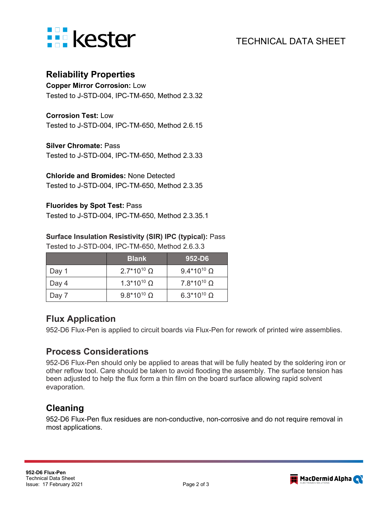

# TECHNICAL DATA SHEET

### **Reliability Properties**

**Copper Mirror Corrosion:** Low Tested to J-STD-004, IPC-TM-650, Method 2.3.32

**Corrosion Test:** Low

Tested to J-STD-004, IPC-TM-650, Method 2.6.15

#### **Silver Chromate:** Pass

Tested to J-STD-004, IPC-TM-650, Method 2.3.33

**Chloride and Bromides:** None Detected Tested to J-STD-004, IPC-TM-650, Method 2.3.35

#### **Fluorides by Spot Test:** Pass

Tested to J-STD-004, IPC-TM-650, Method 2.3.35.1

#### **Surface Insulation Resistivity (SIR) IPC (typical):** Pass

Tested to J-STD-004, IPC-TM-650, Method 2.6.3.3

|       | <b>Blank</b>                  | $952-DB$                      |
|-------|-------------------------------|-------------------------------|
| Day 1 | $2.7*10^{10} \Omega$          | 9.4*10 <sup>10</sup> $\Omega$ |
| Day 4 | $1.3*10^{10}$ Ω               | $7.8*10^{10} \Omega$          |
| Day 7 | 9.8*10 <sup>10</sup> $\Omega$ | 6.3*10 <sup>10</sup> $\Omega$ |

### **Flux Application**

952-D6 Flux-Pen is applied to circuit boards via Flux-Pen for rework of printed wire assemblies.

### **Process Considerations**

952-D6 Flux-Pen should only be applied to areas that will be fully heated by the soldering iron or other reflow tool. Care should be taken to avoid flooding the assembly. The surface tension has been adjusted to help the flux form a thin film on the board surface allowing rapid solvent evaporation.

# **Cleaning**

952-D6 Flux-Pen flux residues are non-conductive, non-corrosive and do not require removal in most applications.